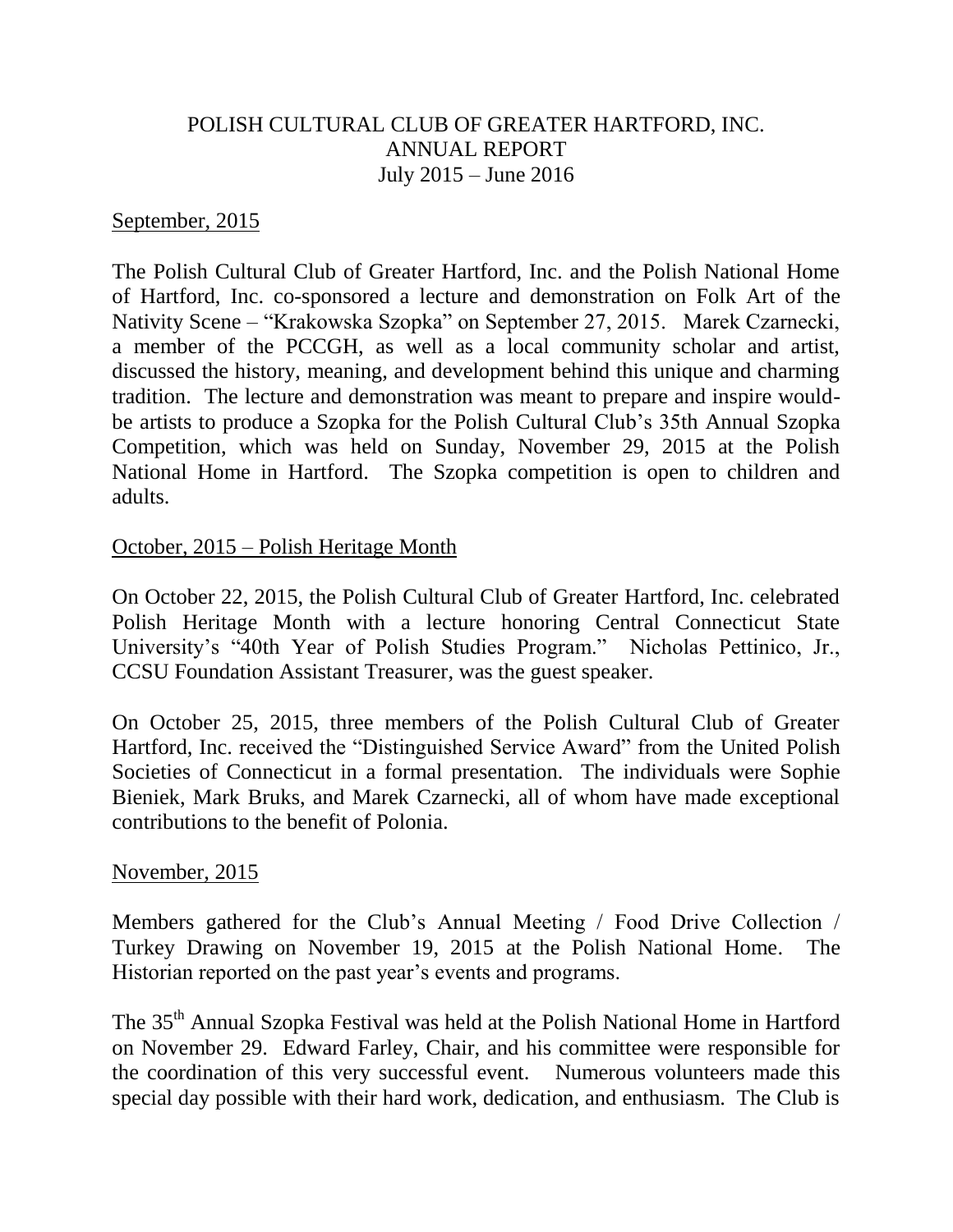# POLISH CULTURAL CLUB OF GREATER HARTFORD, INC. ANNUAL REPORT July 2015 – June 2016

#### September, 2015

The Polish Cultural Club of Greater Hartford, Inc. and the Polish National Home of Hartford, Inc. co-sponsored a lecture and demonstration on Folk Art of the Nativity Scene – "Krakowska Szopka" on September 27, 2015. Marek Czarnecki, a member of the PCCGH, as well as a local community scholar and artist, discussed the history, meaning, and development behind this unique and charming tradition. The lecture and demonstration was meant to prepare and inspire wouldbe artists to produce a Szopka for the Polish Cultural Club's 35th Annual Szopka Competition, which was held on Sunday, November 29, 2015 at the Polish National Home in Hartford. The Szopka competition is open to children and adults.

### October, 2015 – Polish Heritage Month

On October 22, 2015, the Polish Cultural Club of Greater Hartford, Inc. celebrated Polish Heritage Month with a lecture honoring Central Connecticut State University's "40th Year of Polish Studies Program." Nicholas Pettinico, Jr., CCSU Foundation Assistant Treasurer, was the guest speaker.

On October 25, 2015, three members of the Polish Cultural Club of Greater Hartford, Inc. received the "Distinguished Service Award" from the United Polish Societies of Connecticut in a formal presentation. The individuals were Sophie Bieniek, Mark Bruks, and Marek Czarnecki, all of whom have made exceptional contributions to the benefit of Polonia.

### November, 2015

Members gathered for the Club's Annual Meeting / Food Drive Collection / Turkey Drawing on November 19, 2015 at the Polish National Home. The Historian reported on the past year's events and programs.

The 35th Annual Szopka Festival was held at the Polish National Home in Hartford on November 29. Edward Farley, Chair, and his committee were responsible for the coordination of this very successful event. Numerous volunteers made this special day possible with their hard work, dedication, and enthusiasm. The Club is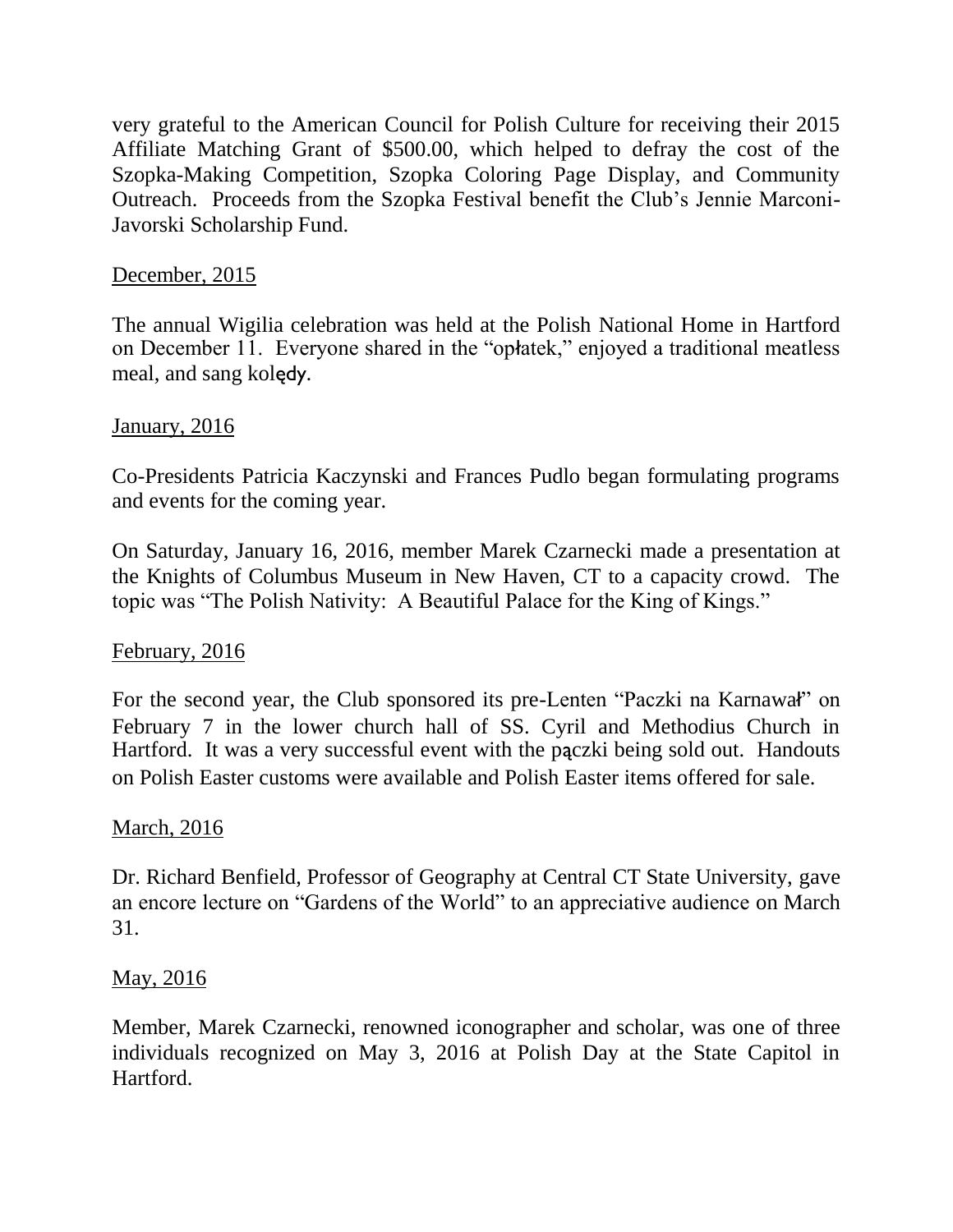very grateful to the American Council for Polish Culture for receiving their 2015 Affiliate Matching Grant of \$500.00, which helped to defray the cost of the Szopka-Making Competition, Szopka Coloring Page Display, and Community Outreach. Proceeds from the Szopka Festival benefit the Club's Jennie Marconi-Javorski Scholarship Fund.

# December, 2015

The annual Wigilia celebration was held at the Polish National Home in Hartford on December 11. Everyone shared in the "opłatek," enjoyed a traditional meatless meal, and sang kolędy.

### January, 2016

Co-Presidents Patricia Kaczynski and Frances Pudlo began formulating programs and events for the coming year.

On Saturday, January 16, 2016, member Marek Czarnecki made a presentation at the Knights of Columbus Museum in New Haven, CT to a capacity crowd. The topic was "The Polish Nativity: A Beautiful Palace for the King of Kings."

# February, 2016

For the second year, the Club sponsored its pre-Lenten "Paczki na Karnawał" on February 7 in the lower church hall of SS. Cyril and Methodius Church in Hartford. It was a very successful event with the pączki being sold out. Handouts on Polish Easter customs were available and Polish Easter items offered for sale.

### March, 2016

Dr. Richard Benfield, Professor of Geography at Central CT State University, gave an encore lecture on "Gardens of the World" to an appreciative audience on March 31.

### May, 2016

Member, Marek Czarnecki, renowned iconographer and scholar, was one of three individuals recognized on May 3, 2016 at Polish Day at the State Capitol in Hartford.